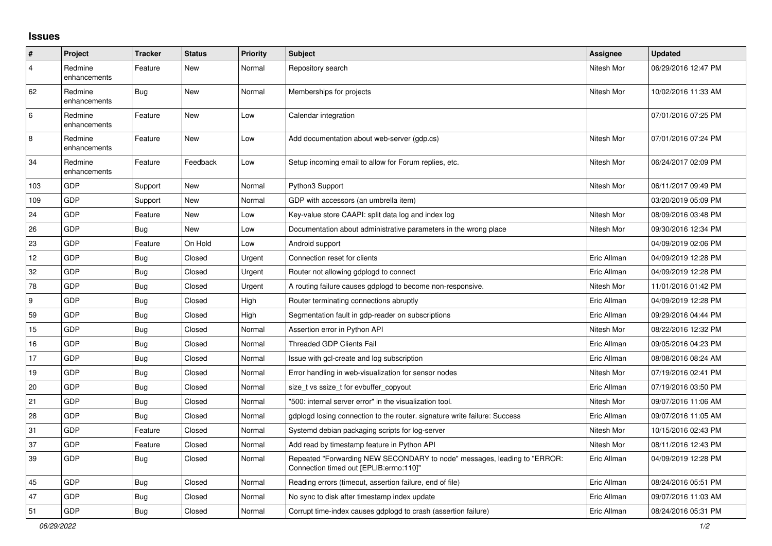## **Issues**

| #              | Project                 | <b>Tracker</b> | <b>Status</b> | <b>Priority</b> | <b>Subject</b>                                                                                                      | Assignee    | <b>Updated</b>      |
|----------------|-------------------------|----------------|---------------|-----------------|---------------------------------------------------------------------------------------------------------------------|-------------|---------------------|
| $\overline{4}$ | Redmine<br>enhancements | Feature        | New           | Normal          | Repository search                                                                                                   | Nitesh Mor  | 06/29/2016 12:47 PM |
| 62             | Redmine<br>enhancements | <b>Bug</b>     | New           | Normal          | Memberships for projects                                                                                            | Nitesh Mor  | 10/02/2016 11:33 AM |
| 6              | Redmine<br>enhancements | Feature        | <b>New</b>    | Low             | Calendar integration                                                                                                |             | 07/01/2016 07:25 PM |
| 8              | Redmine<br>enhancements | Feature        | <b>New</b>    | Low             | Add documentation about web-server (gdp.cs)                                                                         | Nitesh Mor  | 07/01/2016 07:24 PM |
| 34             | Redmine<br>enhancements | Feature        | Feedback      | Low             | Setup incoming email to allow for Forum replies, etc.                                                               | Nitesh Mor  | 06/24/2017 02:09 PM |
| 103            | GDP                     | Support        | New           | Normal          | Python3 Support                                                                                                     | Nitesh Mor  | 06/11/2017 09:49 PM |
| 109            | <b>GDP</b>              | Support        | <b>New</b>    | Normal          | GDP with accessors (an umbrella item)                                                                               |             | 03/20/2019 05:09 PM |
| 24             | GDP                     | Feature        | New           | Low             | Key-value store CAAPI: split data log and index log                                                                 | Nitesh Mor  | 08/09/2016 03:48 PM |
| 26             | GDP                     | Bug            | <b>New</b>    | Low             | Documentation about administrative parameters in the wrong place                                                    | Nitesh Mor  | 09/30/2016 12:34 PM |
| 23             | GDP                     | Feature        | On Hold       | Low             | Android support                                                                                                     |             | 04/09/2019 02:06 PM |
| 12             | GDP                     | <b>Bug</b>     | Closed        | Urgent          | Connection reset for clients                                                                                        | Eric Allman | 04/09/2019 12:28 PM |
| 32             | GDP                     | <b>Bug</b>     | Closed        | Urgent          | Router not allowing gdplogd to connect                                                                              | Eric Allman | 04/09/2019 12:28 PM |
| 78             | <b>GDP</b>              | Bug            | Closed        | Urgent          | A routing failure causes gdplogd to become non-responsive.                                                          | Nitesh Mor  | 11/01/2016 01:42 PM |
| 9              | <b>GDP</b>              | <b>Bug</b>     | Closed        | High            | Router terminating connections abruptly                                                                             | Eric Allman | 04/09/2019 12:28 PM |
| 59             | GDP                     | <b>Bug</b>     | Closed        | High            | Segmentation fault in gdp-reader on subscriptions                                                                   | Eric Allman | 09/29/2016 04:44 PM |
| 15             | GDP                     | Bug            | Closed        | Normal          | Assertion error in Python API                                                                                       | Nitesh Mor  | 08/22/2016 12:32 PM |
| 16             | GDP                     | <b>Bug</b>     | Closed        | Normal          | <b>Threaded GDP Clients Fail</b>                                                                                    | Eric Allman | 09/05/2016 04:23 PM |
| 17             | GDP                     | <b>Bug</b>     | Closed        | Normal          | Issue with gcl-create and log subscription                                                                          | Eric Allman | 08/08/2016 08:24 AM |
| 19             | <b>GDP</b>              | Bug            | Closed        | Normal          | Error handling in web-visualization for sensor nodes                                                                | Nitesh Mor  | 07/19/2016 02:41 PM |
| 20             | <b>GDP</b>              | Bug            | Closed        | Normal          | size t vs ssize t for evbuffer copyout                                                                              | Eric Allman | 07/19/2016 03:50 PM |
| 21             | <b>GDP</b>              | <b>Bug</b>     | Closed        | Normal          | "500: internal server error" in the visualization tool.                                                             | Nitesh Mor  | 09/07/2016 11:06 AM |
| 28             | GDP                     | Bug            | Closed        | Normal          | gdplogd losing connection to the router, signature write failure: Success                                           | Eric Allman | 09/07/2016 11:05 AM |
| 31             | GDP                     | Feature        | Closed        | Normal          | Systemd debian packaging scripts for log-server                                                                     | Nitesh Mor  | 10/15/2016 02:43 PM |
| 37             | GDP                     | Feature        | Closed        | Normal          | Add read by timestamp feature in Python API                                                                         | Nitesh Mor  | 08/11/2016 12:43 PM |
| 39             | GDP                     | <b>Bug</b>     | Closed        | Normal          | Repeated "Forwarding NEW SECONDARY to node" messages, leading to "ERROR:<br>Connection timed out [EPLIB:errno:110]" | Eric Allman | 04/09/2019 12:28 PM |
| 45             | GDP                     | Bug            | Closed        | Normal          | Reading errors (timeout, assertion failure, end of file)                                                            | Eric Allman | 08/24/2016 05:51 PM |
| 47             | GDP                     | <b>Bug</b>     | Closed        | Normal          | No sync to disk after timestamp index update                                                                        | Eric Allman | 09/07/2016 11:03 AM |
| 51             | <b>GDP</b>              | Bug            | Closed        | Normal          | Corrupt time-index causes gdplogd to crash (assertion failure)                                                      | Eric Allman | 08/24/2016 05:31 PM |